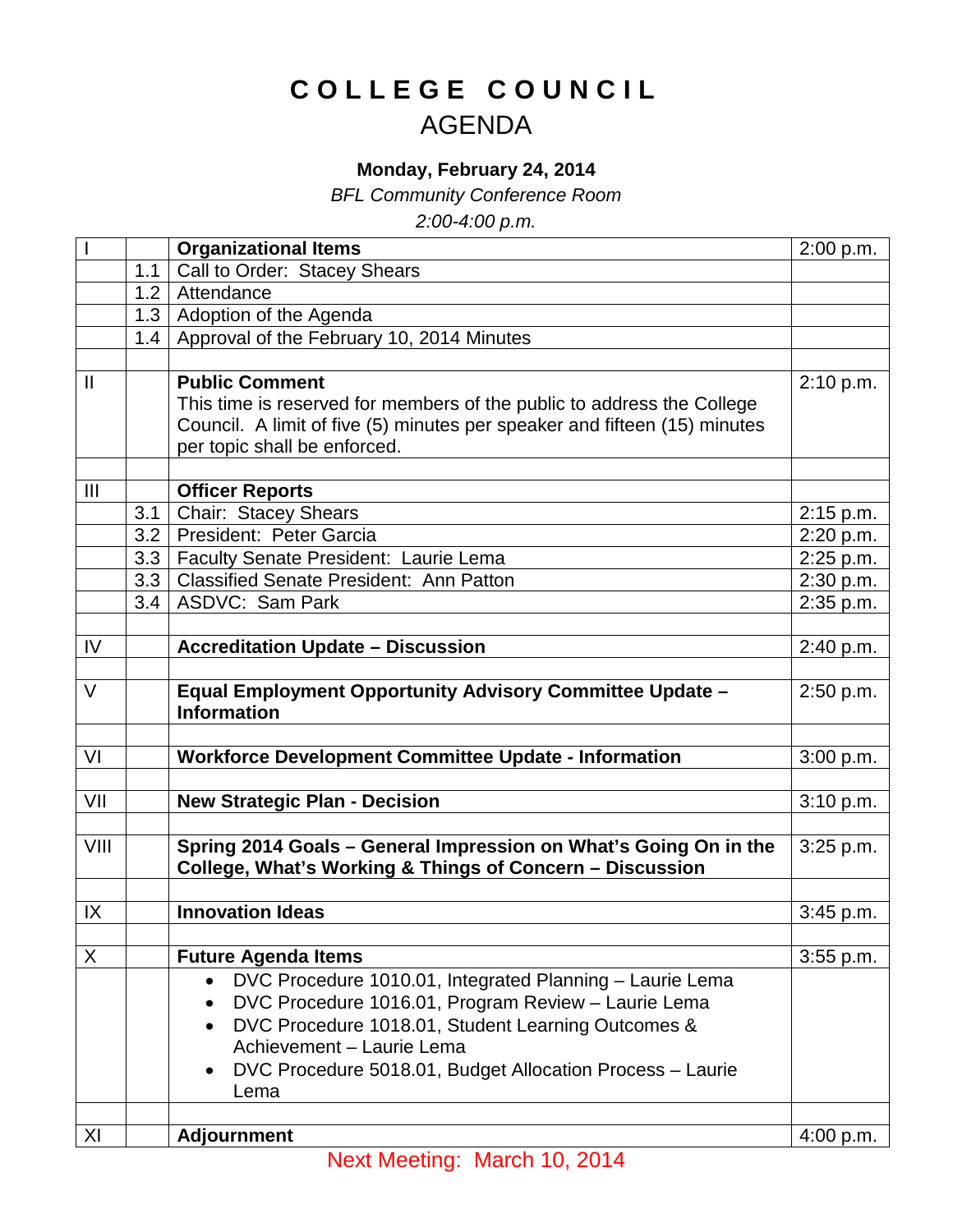## **COLLEGE COUNCIL** AGENDA

## **Monday, February 24, 2014**

*BFL Community Conference Room*

*2:00-4:00 p.m.*

|              |     | <b>Organizational Items</b>                                                                                                  | 2:00 p.m.   |
|--------------|-----|------------------------------------------------------------------------------------------------------------------------------|-------------|
|              | 1.1 | Call to Order: Stacey Shears                                                                                                 |             |
|              | 1.2 | Attendance                                                                                                                   |             |
|              | 1.3 | Adoption of the Agenda                                                                                                       |             |
|              | 1.4 | Approval of the February 10, 2014 Minutes                                                                                    |             |
|              |     |                                                                                                                              |             |
| $\mathbf{I}$ |     | <b>Public Comment</b>                                                                                                        | 2:10 p.m.   |
|              |     | This time is reserved for members of the public to address the College                                                       |             |
|              |     | Council. A limit of five (5) minutes per speaker and fifteen (15) minutes                                                    |             |
|              |     | per topic shall be enforced.                                                                                                 |             |
|              |     |                                                                                                                              |             |
| III          |     | <b>Officer Reports</b>                                                                                                       |             |
|              | 3.1 | Chair: Stacey Shears                                                                                                         | 2:15 p.m.   |
|              | 3.2 | President: Peter Garcia                                                                                                      | 2:20 p.m.   |
|              | 3.3 | Faculty Senate President: Laurie Lema                                                                                        | 2:25 p.m.   |
|              | 3.3 | <b>Classified Senate President: Ann Patton</b>                                                                               | 2:30 p.m.   |
|              | 3.4 | <b>ASDVC: Sam Park</b>                                                                                                       | 2:35 p.m.   |
|              |     |                                                                                                                              |             |
| IV           |     | <b>Accreditation Update - Discussion</b>                                                                                     | 2:40 p.m.   |
|              |     |                                                                                                                              |             |
| $\vee$       |     | <b>Equal Employment Opportunity Advisory Committee Update -</b>                                                              | 2:50 p.m.   |
|              |     | <b>Information</b>                                                                                                           |             |
|              |     |                                                                                                                              |             |
| VI           |     | <b>Workforce Development Committee Update - Information</b>                                                                  | 3:00 p.m.   |
|              |     |                                                                                                                              |             |
| VII          |     | <b>New Strategic Plan - Decision</b>                                                                                         | 3:10 p.m.   |
| VIII         |     |                                                                                                                              |             |
|              |     | Spring 2014 Goals - General Impression on What's Going On in the<br>College, What's Working & Things of Concern - Discussion | 3:25 p.m.   |
|              |     |                                                                                                                              |             |
| IX           |     | <b>Innovation Ideas</b>                                                                                                      | 3:45 p.m.   |
|              |     |                                                                                                                              |             |
| X            |     | <b>Future Agenda Items</b>                                                                                                   | $3:55$ p.m. |
|              |     | DVC Procedure 1010.01, Integrated Planning - Laurie Lema<br>$\bullet$                                                        |             |
|              |     | DVC Procedure 1016.01, Program Review - Laurie Lema                                                                          |             |
|              |     | DVC Procedure 1018.01, Student Learning Outcomes &                                                                           |             |
|              |     | Achievement - Laurie Lema                                                                                                    |             |
|              |     | DVC Procedure 5018.01, Budget Allocation Process - Laurie                                                                    |             |
|              |     | Lema                                                                                                                         |             |
|              |     |                                                                                                                              |             |
| XI           |     | <b>Adjournment</b>                                                                                                           | 4:00 p.m.   |
|              |     |                                                                                                                              |             |